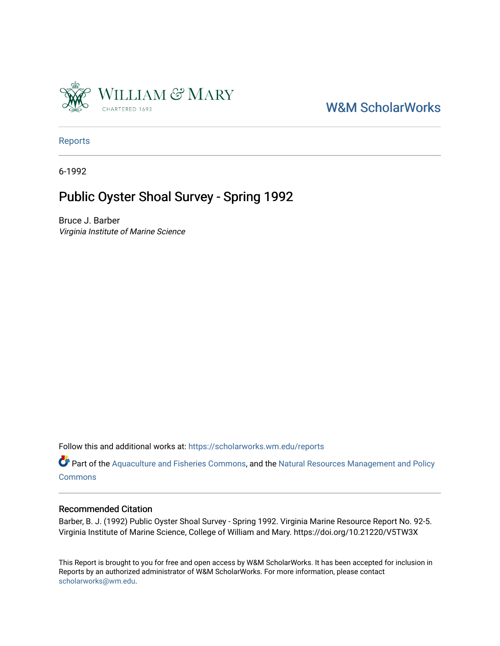

# [W&M ScholarWorks](https://scholarworks.wm.edu/)

[Reports](https://scholarworks.wm.edu/reports)

6-1992

# Public Oyster Shoal Survey - Spring 1992

Bruce J. Barber Virginia Institute of Marine Science

Follow this and additional works at: [https://scholarworks.wm.edu/reports](https://scholarworks.wm.edu/reports?utm_source=scholarworks.wm.edu%2Freports%2F402&utm_medium=PDF&utm_campaign=PDFCoverPages)

Part of the [Aquaculture and Fisheries Commons](http://network.bepress.com/hgg/discipline/78?utm_source=scholarworks.wm.edu%2Freports%2F402&utm_medium=PDF&utm_campaign=PDFCoverPages), and the Natural Resources Management and Policy **[Commons](http://network.bepress.com/hgg/discipline/170?utm_source=scholarworks.wm.edu%2Freports%2F402&utm_medium=PDF&utm_campaign=PDFCoverPages)** 

#### Recommended Citation

Barber, B. J. (1992) Public Oyster Shoal Survey - Spring 1992. Virginia Marine Resource Report No. 92-5. Virginia Institute of Marine Science, College of William and Mary. https://doi.org/10.21220/V5TW3X

This Report is brought to you for free and open access by W&M ScholarWorks. It has been accepted for inclusion in Reports by an authorized administrator of W&M ScholarWorks. For more information, please contact [scholarworks@wm.edu.](mailto:scholarworks@wm.edu)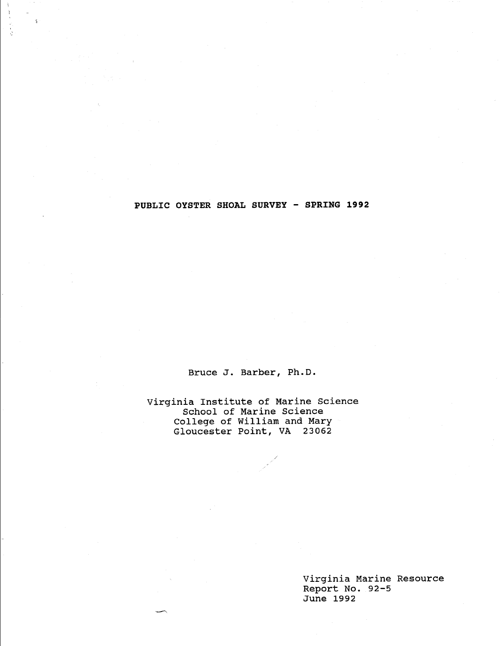**PUBLIC OYSTER SHOAL SURVEY - SPRING 1992** 

ţ

Bruce J. Barber, Ph.D.

Virginia Institute of Marine Science School of Marine Science College of William and Mary Gloucester Point, VA 23062

> Virginia Marine Resource Report No. 92-5 June 1992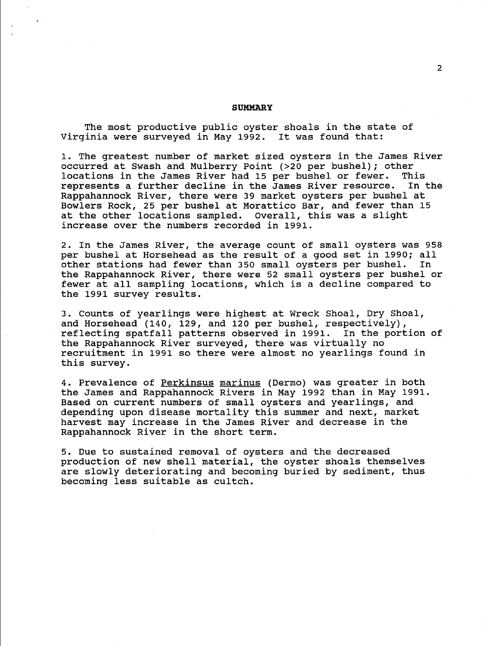#### **SUMMARY**

The most productive public oyster shoals in the state of Virginia were surveyed in May 1992. It was found that:

1. The greatest number of market sized oysters in the James River occurred at Swash and Mulberry Point (>20 per bushel); other<br>locations in the James River had 15 per bushel or fewer. This locations in the James River had 15 per bushel or fewer. represents a further decline in the James River resource. In the Rappahannock River, there were 39 market oysters per bushel at Bowlers Rock, 25 per bushel at Morattico Bar, and fewer than 15 at the other locations sampled. overall, this was a slight increase over the numbers recorded in 1991.

2. In the James River, the average count of small oysters was 958 per bushel at Horsehead as the result of a good set in 1990; all<br>other stations had fewer than 350 small ovsters per bushel. In other stations had fewer than 350 small oysters per bushel. the Rappahannock River, there were 52 small oysters per bushel or fewer at all sampling locations, which is a decline compared to the 1991 survey results.

3. Counts of yearlings were highest at Wreck Shoal, Dry Shoal, and Horsehead (140, 129, and 120 per bushel, respectively),<br>reflecting spatfall patterns observed in 1991. In the portion of reflecting spatfall patterns observed in 1991. the Rappahannock River surveyed, there was virtually no recruitment in 1991 so there were almost no yearlings found in this survey.

4. Prevalence of Perkinsus marinus (Dermo) was greater in both the James and Rappahannock Rivers in May 1992 than in May 1991. Based on current numbers of small oysters and yearlings, and depending upon disease mortality this summer and next, market harvest may increase in the James River and decrease in the Rappahannock River in the short term.

5. Due to sustained removal of oysters and the decreased production of new shell material, the oyster shoals themselves are slowly deteriorating and becoming buried by sediment, thus becoming less suitable as cultch.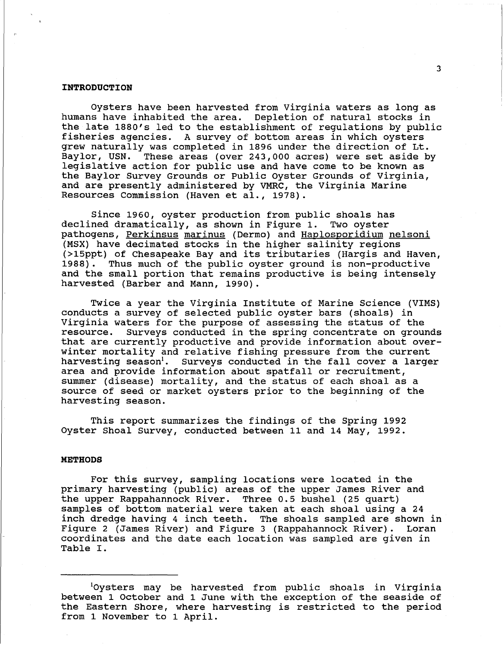#### **INTRODUCTION**

Oysters have been harvested from Virginia waters as long as humans have inhabited the area. Depletion of natural stocks in the late 1880's led to the establishment of regulations by public fisheries agencies. A survey of bottom areas in which oysters grew naturally was completed in 1896 under the direction of Lt. Baylor, USN. These areas (over 243,000 acres) were set aside by legislative action for public use and have come to be known as the Baylor Survey Grounds or Public Oyster Grounds of Virginia, and are presently administered by VMRC, the Virginia Marine Resources Commission (Haven et al., 1978).

Since 1960, oyster production from public shoals has declined dramatically, as shown in Figure 1. Two oyster pathogens, Perkinsus marinus (Dermo) and Haplosporidium nelsoni (MSX) have decimated stocks in the higher salinity regions (>15ppt) of Chesapeake Bay and its tributaries (Hargis and Haven,<br>1988). Thus much of the public oyster ground is non-productive Thus much of the public oyster ground is non-productive and the small portion that remains productive is being intensely harvested (Barber and Mann, 1990).

Twice a year the Virginia Institute of Marine Science (VIMS) conducts a survey of selected public oyster bars (shoals) in Virginia waters for the purpose of assessing the status of the resource. Surveys conducted in the spring concentrate on grounds that are currently productive and provide information about overwinter mortality and relative fishing pressure from the current harvesting season<sup>1</sup>. Surveys conducted in the fall cover a larger area and provide information about spatfall or recruitment, summer (disease) mortality, and the status of each shoal as a source of seed or market oysters prior to the beginning of the harvesting season.

This report summarizes the findings of the Spring 1992 Oyster Shoal Survey, conducted between 11 and 14 May, 1992.

#### **METHODS**

For this survey, sampling locations were located in the primary harvesting (public) areas of the upper James River and the upper Rappahannock River. Three 0.5 bushel (25 quart) samples of bottom material were taken at each shoal using a 24 inch dredge having 4 inch teeth. The shoals sampled are shown in Figure 2 (James River) and Figure 3 (Rappahannock River). Loran coordinates and the date each location was sampled are given in Table I.

<sup>&</sup>lt;sup>1</sup>Oysters may be harvested from public shoals in Virginia between 1 October and 1 June with the exception of the seaside of the Eastern Shore, where harvesting is restricted to the period from 1 November to 1 April.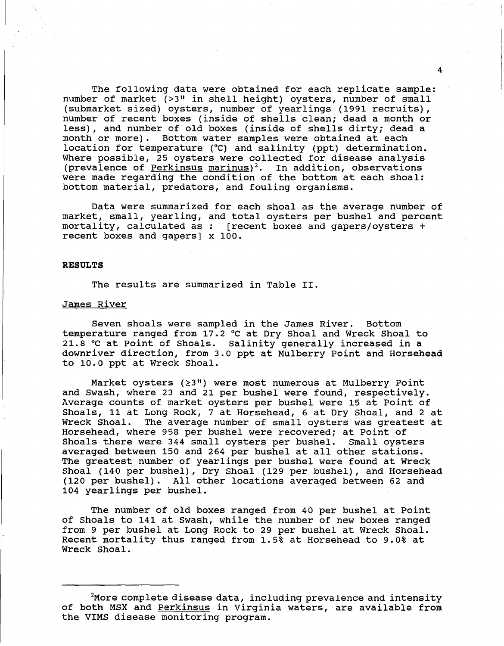The following data were obtained for each replicate sample: number of market (>3" in shell height) oysters, number of small (submarket sized) oysters, number of yearlings (1991 recruits), number of recent boxes (inside of shells clean; dead a month or less), and number of old boxes (inside of shells dirty; dead a month or more). Bottom water samples were obtained at each location for temperature (°C) and salinity (ppt) determination. Where possible, 25 oysters were collected for disease analysis (prevalence of Perkinsus marinus)<sup>2</sup>. In addition, observations were made regarding the condition of the bottom at each shoal: bottom material, predators, and fouling organisms.

Data were summarized for each shoal as the average number of market, small, yearling, and total oysters per bushel and percent mortality, calculated as : [recent boxes and gapers/oysters + recent boxes and gapers] x 100.

#### **RESULTS**

The results are summarized in Table II.

#### James River

Seven shoals were sampled in the James River. Bottom temperature ranged from 17.2 °Cat Dry Shoal and Wreck Shoal to 21.8 °C at Point of Shoals. Salinity generally increased in a downriver direction, from 3.0 ppt at Mulberry Point and Horsehead to 10.0 ppt at Wreck Shoal.

Market oysters  $(23")$  were most numerous at Mulberry Point and swash, where 23 and 21 per bushel were found, respectively. Average counts of market oysters per bushel were 15 at Point of Shoals, 11 at Long Rock, 7 at Horsehead, 6 at Dry Shoal, and 2 at Wreck Shoal. The average number of small oysters was greatest at The average number of small oysters was greatest at Horsehead, where 958 per bushel were recovered; at Point of Shoals there were 344 small oysters per bushel. Small oysters averaged between 150 and 264 per bushel at all other stations. The greatest number of yearlings per bushel were found at Wreck Shoal (140 per bushel), Dry Shoal (129 per bushel), and Horsehead (120 per bushel). All other locations averaged between 62 and 104 yearlings per bushel.

The number of old boxes ranged from 40 per bushel at Point of Shoals to 141 at swash, while the number of new boxes ranged from 9 per bushel at Long Rock to 29 per bushel at Wreck Shoal. Recent mortality thus ranged from 1.5% at Horsehead to 9.0% at Wreck Shoal.

4

 $^2$ More complete disease data, including prevalence and intensity of both MSX and Perkinsus in Virginia waters, are available from the VIMS disease monitoring program.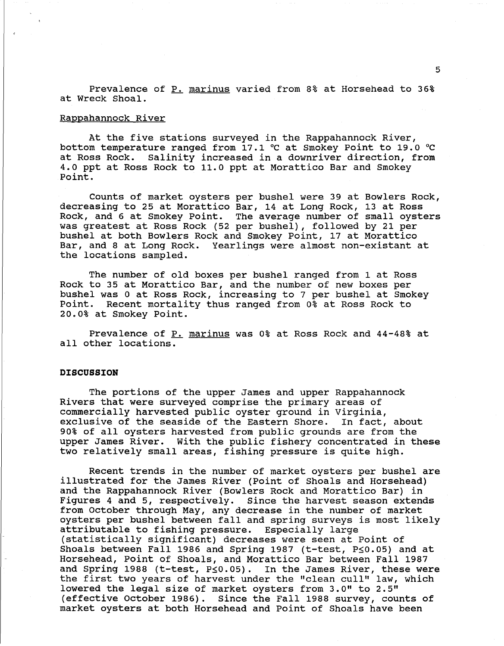Prevalence of P. marinus varied from 8% at Horsehead to 36% at Wreck Shoal.

#### Rappahannock River

At the five stations surveyed in the Rappahannock River, bottom temperature ranged from 17.1 °C at Smokey Point to 19.0 °C<br>at Ross Rock. Salinity increased in a downriver direction, from Salinity increased in a downriver direction, from 4.0 ppt at Ross Rock to 11.0 ppt at Morattico Bar and Smokey Point.

Counts of market oysters per bushel were 39 at Bowlers Rock, decreasing to 25 at Morattico Bar, 14 at Long Rock, 13 at Ross Rock, and 6 at Smokey Point. The average number of small oysters was greatest at Ross Rock (52 per bushel), followed by 21 per bushel at both Bowlers Rock and Smokey Point, 17 at Morattico Bar, and 8 at Long Rock. Yearlings were almost non-existant at the locations sampled.

The number of old boxes per bushel ranged from 1 at Ross Rock to 35 at Morattico Bar, and the number of new boxes per bushel was 0 at Ross Rock, increasing to 7 per bushel at Smokey Point. Recent mortality thus ranged from 0% at Ross Rock to 20.0% at Smokey Point.

Prevalence of P. marinus was 0% at Ross Rock and 44-48% at all other locations.

#### **DISCUSSION**

The portions of the upper James and upper Rappahannock Rivers that were surveyed comprise the primary areas of commercially harvested public oyster ground in Virginia, exclusive of the seaside of the Eastern Shore. 90% of all oysters harvested from public grounds are from the upper James River. With the public fishery concentrated in these two relatively small areas, fishing pressure is quite high.

Recent trends in the number of market oysters per bushel are illustrated for the James River (Point of Shoals and Horsehead) and the Rappahannock River (Bowlers Rock and Morattico Bar) in Figures 4 and 5, respectively. Since the harvest season extends from October through May, any decrease in the number of market oysters per bushel between fall and spring surveys is most likely<br>attributable to fishing pressure. Especially large attributable to fishing pressure. (statistically significant) decreases were seen at Point of Shoals between Fall 1986 and Spring 1987 (t-test,  $P \le 0.05$ ) and at Horsehead, Point of Shoals, and Morattico Bar between Fall 1987 and Spring 1988 (t-test,  $P \le 0.05$ ). In the James River, these were the first two years of harvest under the "clean cull" law, which lowered the legal size of market oysters from  $3.0$ " to  $2.5$ " (effective October 1986). Since the Fall 1988 survey, counts of market oysters at both Horsehead and Point of Shoals have been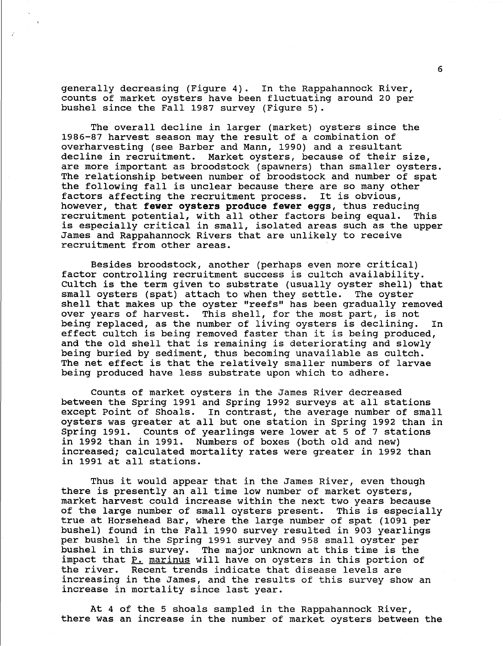generally decreasing (Figure 4). In the Rappahannock River, counts of market oysters have been fluctuating around 20 per bushel since the Fall 1987 survey (Figure 5).

The overall decline in larger (market) oysters since the 1986-87 harvest season may the result of a combination of overharvesting (see Barber and Mann, 1990) and a resultant Market oysters, because of their size, are more important as broodstock (spawners) than smaller oysters. The relationship between number of broodstock and number of spat the following fall is unclear because there are so many other factors affecting the recruitment process. It is obvious, however, that **fewer oysters produce fewer eggs,** thus reducing recruitment potential, with all other factors being equal. This is especially critical in small, isolated areas such as the upper James and Rappahannock Rivers that are unlikely to receive recruitment from other areas.

Besides broodstock, another (perhaps even more critical) factor controlling recruitment success is cultch availability. Cultch is the term given to substrate (usually oyster shell) that small oysters (spat) attach to when they settle. The oyster small oysters (spat) attach to when they settle. shell that makes up the oyster "reefs" has been gradually removed<br>over years of harvest. This shell, for the most part, is not This shell, for the most part, is not being replaced, as the number of living oysters is declining. In effect cultch is being removed faster than it is being produced, and the old shell that is remaining is deteriorating and slowly being buried by sediment, thus becoming unavailable as cultch. The net effect is that the relatively smaller numbers of larvae being produced have less substrate upon which to adhere.

Counts of market oysters in the James River decreased between the Spring 1991 and Spring 1992 surveys at all stations except Point of Shoals. In contrast, the average number of small oysters was greater at all but one station in Spring 1992 than in Spring 1991. Counts of yearlings were lower at 5 of 7 stations in 1992 than in 1991. Numbers of boxes (both old and new) increased; calculated mortality rates were greater in 1992 than in 1991 at all stations.

Thus it would appear that in the James River, even though there is presently an all time low number of market oysters, market harvest could increase within the next two years because<br>of the large number of small oysters present. This is especially of the large number of small oysters present. true at Horsehead Bar, where the large number of spat {1091 per bushel) found in the Fall 1990 survey resulted in 903 yearlings per bushel in the Spring 1991 survey and 958 small oyster per bushel in this survey. The major unknown at this time is the impact that P. marinus will have on oysters in this portion of the river. Recent trends indicate that disease levels are increasing in the James, and the results of this survey show an increase in mortality since last year.

At 4 of the 5 shoals sampled in the Rappahannock River, there was an increase in the number of market oysters between the

6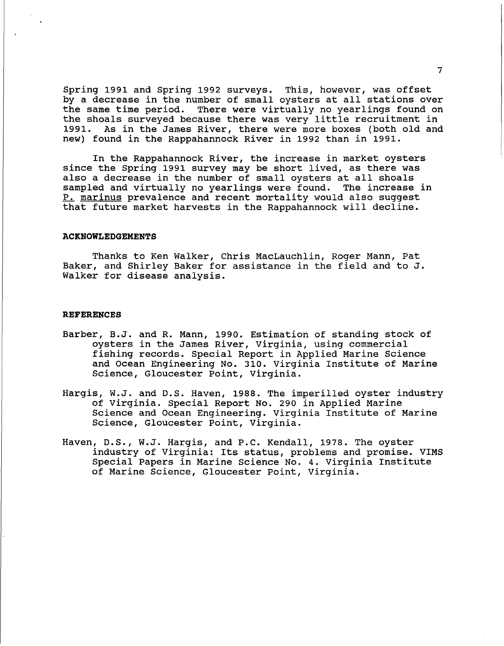Spring 1991 and Spring 1992 surveys. This, however, was offset by a decrease in the number of small oysters at all stations over the same time period. There were virtually no yearlings found on the shoals surveyed because there was very little recruitment in 1991. As in the James River, there were more boxes (both old and new) found in the Rappahannock River in 1992 than in 1991.

In the Rappahannock River, the increase in market oysters since the Spring 1991 survey may be short lived, as there was since the spring 1991 survey may be short fived, as there was<br>also a decrease in the number of small oysters at all shoals sampled and virtually no yearlings were found. The increase in P. marinus prevalence and recent mortality would also suggest that future market harvests in the Rappahannock will decline.

#### **ACKNOWLEDGEMENTS**

Thanks to Ken Walker, Chris MacLauchlin, Roger Mann, Pat Baker, and Shirley Baker for assistance in the field and to J. Walker for disease analysis.

#### **REFERENCES**

- Barber, B.J. and R. Mann, 1990. Estimation of standing stock of oysters in the James River, Virginia, using commercial fishing records. Special Report in Applied Marine Science and Ocean Engineering No. 310. Virginia Institute of Marine Science, Gloucester Point, Virginia.
- Hargis, W.J. and D.S. Haven, 1988. The imperilled oyster industry of Virginia. Special Report No. 290 in Applied Marine Science and Ocean Engineering. Virginia Institute of Marine Science, Gloucester Point, Virginia.
- Haven, D.S., W.J. Hargis, and P.C. Kendall, 1978. The oyster industry of Virginia: Its status, problems and promise. VIMS Special Papers in Marine Science No. 4. Virginia Institute of Marine Science, Gloucester Point, Virginia.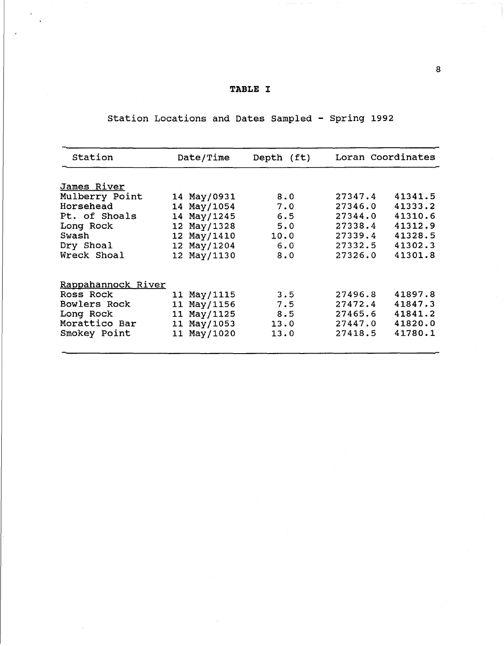### **TABLE** I

# Station Locations and Dates Sampled - Spring 1992

| Station            | Date/Time   | Depth (ft) | Loran Coordinates |         |  |  |  |  |  |  |  |  |
|--------------------|-------------|------------|-------------------|---------|--|--|--|--|--|--|--|--|
| <u>James River</u> |             |            |                   |         |  |  |  |  |  |  |  |  |
| Mulberry Point     | 14 May/0931 | 8.0        | 27347.4           | 41341.5 |  |  |  |  |  |  |  |  |
| Horsehead          | 14 May/1054 | 7.0        | 27346.0           | 41333.2 |  |  |  |  |  |  |  |  |
| Pt. of Shoals      | 14 May/1245 | 6.5        | 27344.0           | 41310.6 |  |  |  |  |  |  |  |  |
| Long Rock          | 12 May/1328 | 5.0        | 27338.4           | 41312.9 |  |  |  |  |  |  |  |  |
| Swash              | 12 May/1410 | 10.0       | 27339.4           | 41328.5 |  |  |  |  |  |  |  |  |
| Dry Shoal          | 12 May/1204 | 6.0        | 27332.5           | 41302.3 |  |  |  |  |  |  |  |  |
| Wreck Shoal        | 12 May/1130 | 8.0        | 27326.0           | 41301.8 |  |  |  |  |  |  |  |  |
| Rappahannock River |             |            |                   |         |  |  |  |  |  |  |  |  |
| Ross Rock          | 11 May/1115 | 3.5        | 27496.8           | 41897.8 |  |  |  |  |  |  |  |  |
| Bowlers Rock       | 11 May/1156 | 7.5        | 27472.4           | 41847.3 |  |  |  |  |  |  |  |  |
| Long Rock          | 11 May/1125 | 8.5        | 27465.6           | 41841.2 |  |  |  |  |  |  |  |  |
| Morattico Bar      | 11 May/1053 | 13.0       | 27447.0           | 41820.0 |  |  |  |  |  |  |  |  |
| Smokey Point       | 11 May/1020 | 13.0       | 27418.5           | 41780.1 |  |  |  |  |  |  |  |  |
|                    |             |            |                   |         |  |  |  |  |  |  |  |  |

8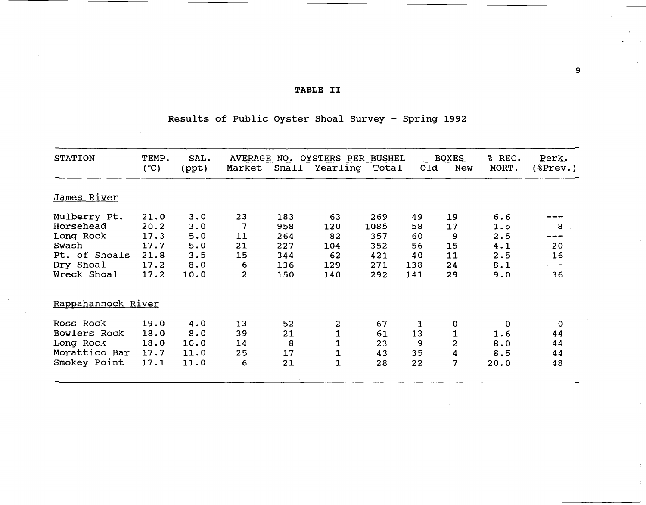## **TABLE** II

## Results of Public Oyster Shoal Survey - Spring 1992

| <b>STATION</b>     | TEMP.<br>$(^{\circ}C)$ | SAL.<br>(ppt) | Market | Small | AVERAGE NO. OYSTERS PER<br>Yearling | <b>BUSHEL</b><br>Total | 0ld | <b>BOXES</b><br>New     | % REC.<br>MORT. | Perk.<br>$(*$ Prev.) |
|--------------------|------------------------|---------------|--------|-------|-------------------------------------|------------------------|-----|-------------------------|-----------------|----------------------|
|                    |                        |               |        |       |                                     |                        |     |                         |                 |                      |
| James River        |                        |               |        |       |                                     |                        |     |                         |                 |                      |
| Mulberry Pt.       | 21.0                   | 3.0           | 23     | 183   | 63                                  | 269                    | 49  | 19                      | 6.6             |                      |
| Horsehead          | 20.2                   | 3.0           | 7      | 958   | 120                                 | 1085                   | 58  | 17                      | 1.5             | 8                    |
| Long Rock          | 17.3                   | 5.0           | 11     | 264   | 82                                  | 357                    | 60  | 9                       | 2.5             |                      |
| Swash              | 17.7                   | 5.0           | 21     | 227   | 104                                 | 352                    | 56  | 15                      | 4.1             | 20                   |
| Pt. of Shoals      | 21.8                   | 3.5           | 15     | 344   | 62                                  | 421                    | 40  | 11                      | 2.5             | 16                   |
| Dry Shoal          | 17.2                   | 8.0           | 6      | 136   | 129                                 | 271                    | 138 | 24                      | 8.1             |                      |
| Wreck Shoal        | 17.2                   | 10.0          | 2      | 150   | 140                                 | 292                    | 141 | 29                      | 9.0             | 36                   |
| Rappahannock River |                        |               |        |       |                                     |                        |     |                         |                 |                      |
| Ross Rock          | 19.0                   | 4.0           | 13     | 52    | 2                                   | 67                     | 1   | 0                       | 0               | $\mathbf 0$          |
| Bowlers Rock       | 18.0                   | 8.0           | 39     | 21    | $\mathbf 1$                         | 61                     | 13  | 1                       | 1.6             | 44                   |
| Long Rock          | 18.0                   | 10.0          | 14     | 8     | 1                                   | 23                     | 9   | $\overline{\mathbf{c}}$ | 8.0             | 44                   |
| Morattico Bar      | 17.7                   | 11.0          | 25     | 17    | 1                                   | 43                     | 35  | 4                       | 8.5             | 44                   |
| Smokey Point       | 17.1                   | 11.0          | 6      | 21    | $\mathbf{1}$                        | 28                     | 22  | 7                       | 20.0            | 48                   |
|                    |                        |               |        |       |                                     |                        |     |                         |                 |                      |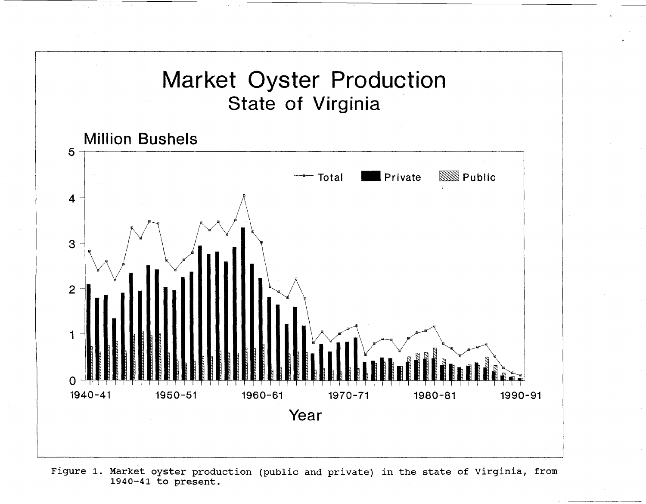

Figure 1. Market oyster production (public and private) in the state of Virginia, from 1940-41 to present.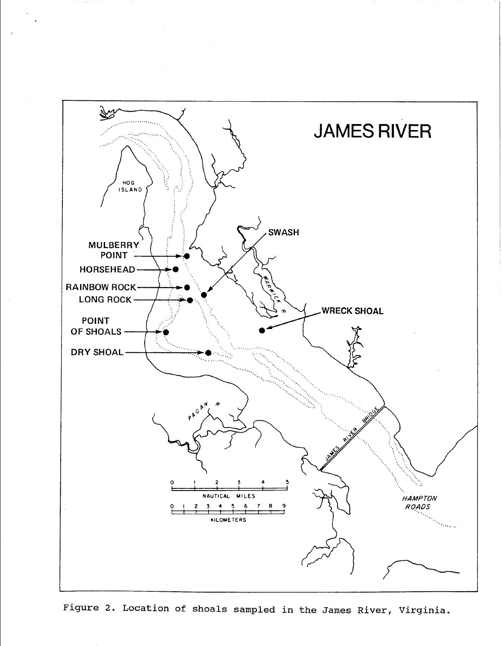

Figure 2. Location of shoals sampled in the James River, Virginia.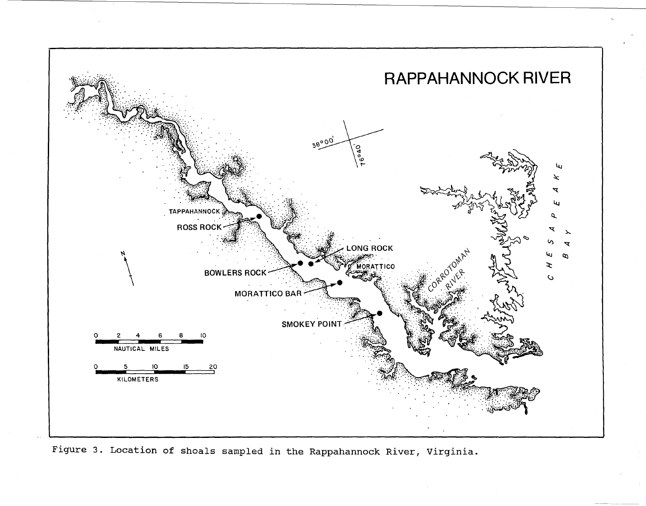

Figure 3. Location of shoals sampled in the Rappahannock River, Virginia.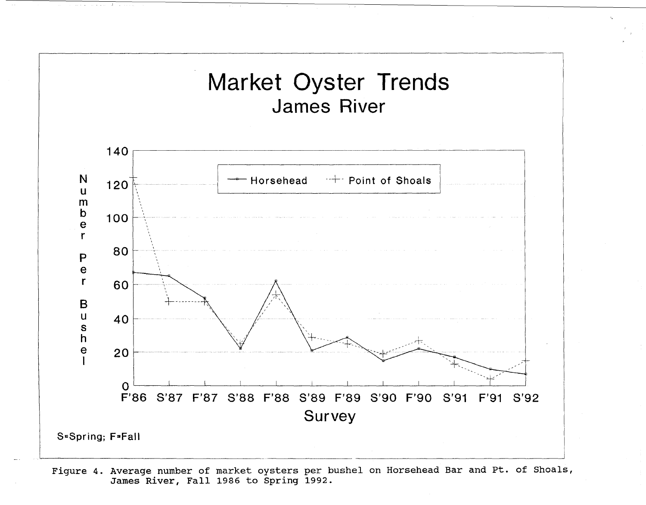

Figure 4. Average number of market oysters per bushel on Horsehead Bar and Pt. of Shoals, James River, Fall 1986 to Spring 1992.